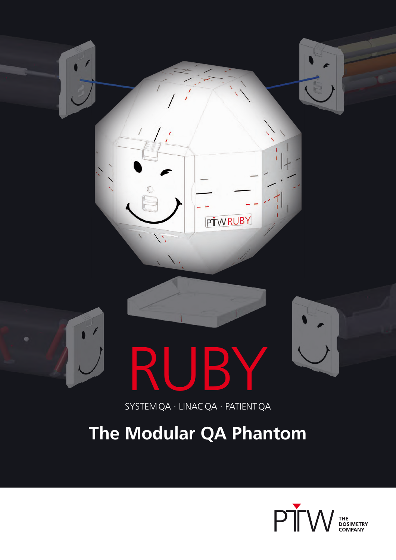

# RUBY

SYSTEMQA · LINACQA · PATIENTQA

# **The Modular QA Phantom**

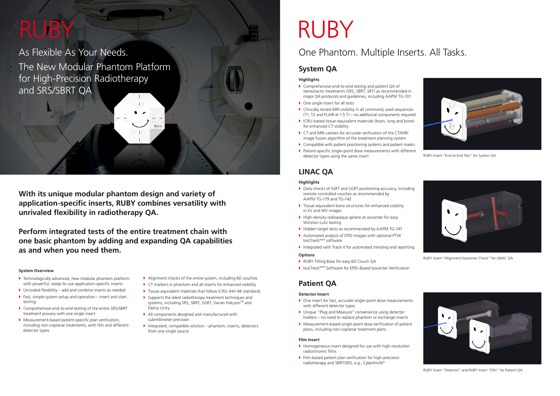As Flexible As Your Needs. The New Modular Phantom Platform for High-Precision Radiotherapy and SRS/SBRT QA

**With its unique modular phantom design and variety of application-specific inserts, RUBY combines versatility with unrivaled flexibility in radiotherapy QA.** 

**Perform integrated tests of the entire treatment chain with one basic phantom by adding and expanding QA capabilities as and when you need them.** 

# One Phantom. Multiple Inserts. All Tasks.

# **System Overview**

- $\blacktriangleright$  Technologically advanced, new modular phantom platform with powerful, ready-to-use application-specific inserts
- $\blacktriangleright$  Unrivaled flexibility add and combine inserts as needed
- $\blacktriangleright$  Fast, simple system setup and operation insert and start testing
- ▶ Comprehensive end-to-end testing of the entire SRS/SBRT treatment process with one single insert
- $\blacktriangleright$  Measurement-based patient-specific plan verification, including non-coplanar treatments, with film and different detector types
- ▶ Alignment checks of the entire system, including 6D couches
- $\blacktriangleright$  CT markers in phantom and all inserts for enhanced visibility
- ▶ Tissue-equivalent materials that follow ICRU-44/-46 standards
- $\blacktriangleright$  Supports the latest radiotherapy treatment techniques and systems, including SRS, SBRT, SGRT, Varian Halcyon™ and Elekta Unity
- $\blacktriangleright$  All components designed and manufactured with submillimeter precision
- $\blacktriangleright$  Integrated, compatible solution phantom, inserts, detectors from one single source

# RUBY RUBY

# **Highlights**

- ▶ One insert for fast, accurate single-point dose measurements with different detector types
- ▶ Unique "Plug and Measure" convenience using detector holders – no need to replace phantom or exchange inserts
- $\blacktriangleright$  Measurement-based single-point dose verification of patient plans, including non-coplanar treatment plans
- } Comprehensive end-to-end testing and patient QA of stereotactic treatments (SRS, SBRT, SRT) as recommended in major QA protocols and guidelines, including AAPM TG-101
- $\triangleright$  One single insert for all tests
- $\blacktriangleright$  Clinically tested MRI visibility in all commonly used sequences (T1, T2 and FLAIR at 1.5 T) – no additional components required
- ▶ ICRU-based tissue-equivalent materials (brain, lung and bone) for enhanced CT visibility
- $\triangleright$  CT and MRI cavities for accurate verification of the CT/MRI image fusion algorithm of the treatment planning system
- $\triangleright$  Compatible with patient positioning systems and patient masks
- ▶ Patient-specific single-point dose measurements with different detector types using the same insert

# **System QA**



RUBY Insert "End-to-End Test" for System QA

# **Highlights**

- ▶ Daily checks of IGRT and SGRT positioning accuracy, including remote-controlled couches as recommended by AAPM TG-179 and TG-142
- $\blacktriangleright$  Tissue-equivalent bone structures for enhanced visibility in kV and MV images
- $\blacktriangleright$  High-density radiopaque sphere at isocenter for easy Winston-Lutz testing
- ▶ Hidden target tests as recommended by AAPM TG-147
- $\blacktriangleright$  Automated analysis of EPID images with optional PTW IsoCheck*epid* software
- Integrated with Track-it for automated trending and reporting

### **Options**

- ▶ RUBY Tilting Base for easy 6D Couch QA
- ▶ IsoCheck<sup>epid</sup> Software for EPID-Based Isocenter Verification

# **LINAC QA**



RUBY Insert "Alignment/Isocenter Check" for LINAC QA

# **Detector Insert**

#### **Film Insert**

- $\blacktriangleright$  Homogeneous insert designed for use with high-resolution radiochromic films
- $\blacktriangleright$  Film-based patient plan verification for high-precision radiotherapy and SBRT/SRS, e.g., CyberKnife®

# **Patient QA**



RUBY Insert "Detector" and RUBY Insert "Film" for Patient QA